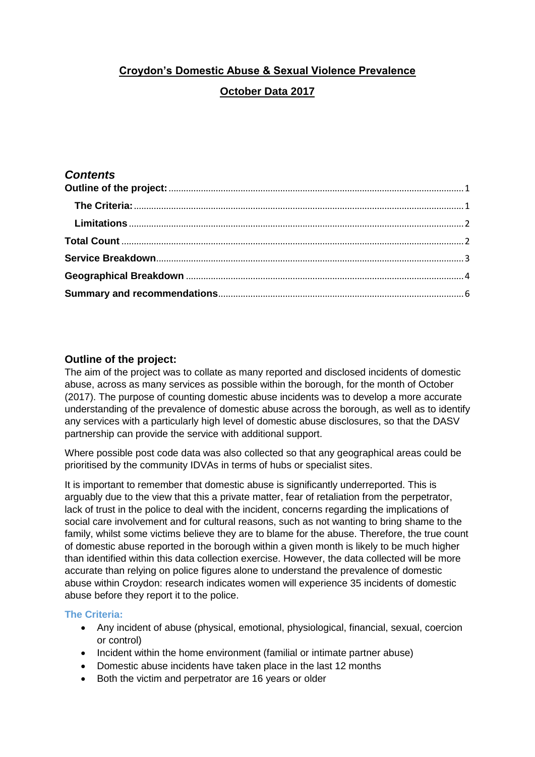# **Croydon's Domestic Abuse & Sexual Violence Prevalence October Data 2017**

# *Contents*

# <span id="page-0-0"></span>**Outline of the project:**

The aim of the project was to collate as many reported and disclosed incidents of domestic abuse, across as many services as possible within the borough, for the month of October (2017). The purpose of counting domestic abuse incidents was to develop a more accurate understanding of the prevalence of domestic abuse across the borough, as well as to identify any services with a particularly high level of domestic abuse disclosures, so that the DASV partnership can provide the service with additional support.

Where possible post code data was also collected so that any geographical areas could be prioritised by the community IDVAs in terms of hubs or specialist sites.

It is important to remember that domestic abuse is significantly underreported. This is arguably due to the view that this a private matter, fear of retaliation from the perpetrator, lack of trust in the police to deal with the incident, concerns regarding the implications of social care involvement and for cultural reasons, such as not wanting to bring shame to the family, whilst some victims believe they are to blame for the abuse. Therefore, the true count of domestic abuse reported in the borough within a given month is likely to be much higher than identified within this data collection exercise. However, the data collected will be more accurate than relying on police figures alone to understand the prevalence of domestic abuse within Croydon: research indicates women will experience 35 incidents of domestic abuse before they report it to the police.

## <span id="page-0-1"></span>**The Criteria:**

- Any incident of abuse (physical, emotional, physiological, financial, sexual, coercion or control)
- Incident within the home environment (familial or intimate partner abuse)
- Domestic abuse incidents have taken place in the last 12 months
- Both the victim and perpetrator are 16 years or older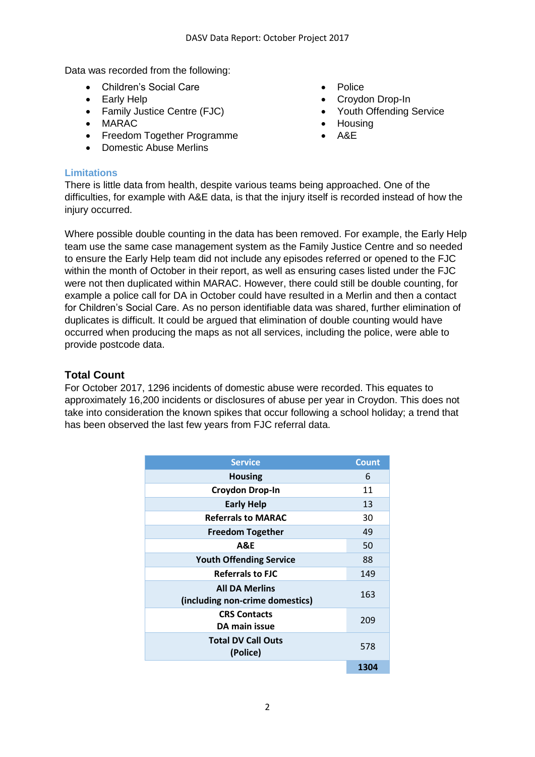Data was recorded from the following:

- Children's Social Care Police
- 
- Family Justice Centre (FJC) The Youth Offending Service
- MARAC Housing
- Freedom Together Programme A&E
- Domestic Abuse Merlins
- 
- Early Help **Croydon Drop-In** 
	-
	-
	-

#### <span id="page-1-0"></span>**Limitations**

There is little data from health, despite various teams being approached. One of the difficulties, for example with A&E data, is that the injury itself is recorded instead of how the injury occurred.

Where possible double counting in the data has been removed. For example, the Early Help team use the same case management system as the Family Justice Centre and so needed to ensure the Early Help team did not include any episodes referred or opened to the FJC within the month of October in their report, as well as ensuring cases listed under the FJC were not then duplicated within MARAC. However, there could still be double counting, for example a police call for DA in October could have resulted in a Merlin and then a contact for Children's Social Care. As no person identifiable data was shared, further elimination of duplicates is difficult. It could be argued that elimination of double counting would have occurred when producing the maps as not all services, including the police, were able to provide postcode data.

## <span id="page-1-1"></span>**Total Count**

For October 2017, 1296 incidents of domestic abuse were recorded. This equates to approximately 16,200 incidents or disclosures of abuse per year in Croydon. This does not take into consideration the known spikes that occur following a school holiday; a trend that has been observed the last few years from FJC referral data.

| <b>Service</b>                                           | <b>Count</b> |
|----------------------------------------------------------|--------------|
| <b>Housing</b>                                           | 6            |
| <b>Croydon Drop-In</b>                                   | 11           |
| <b>Early Help</b>                                        | 13           |
| <b>Referrals to MARAC</b>                                | 30           |
| <b>Freedom Together</b>                                  | 49           |
| <b>A&amp;E</b>                                           | 50           |
| <b>Youth Offending Service</b>                           | 88           |
| <b>Referrals to FJC</b>                                  | 149          |
| <b>All DA Merlins</b><br>(including non-crime domestics) | 163          |
| <b>CRS Contacts</b><br>DA main issue                     | 209          |
| <b>Total DV Call Outs</b><br>(Police)                    | 578          |
|                                                          | 1304         |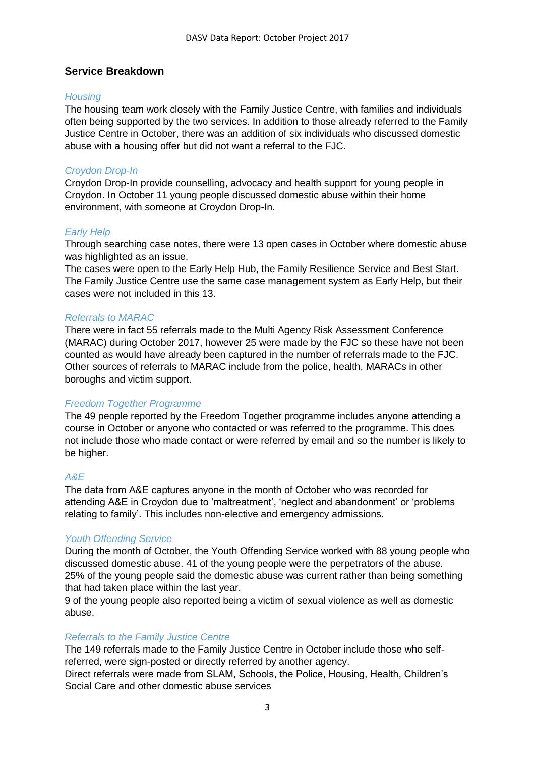## <span id="page-2-0"></span>**Service Breakdown**

#### *Housing*

The housing team work closely with the Family Justice Centre, with families and individuals often being supported by the two services. In addition to those already referred to the Family Justice Centre in October, there was an addition of six individuals who discussed domestic abuse with a housing offer but did not want a referral to the FJC.

#### *Croydon Drop-In*

Croydon Drop-In provide counselling, advocacy and health support for young people in Croydon. In October 11 young people discussed domestic abuse within their home environment, with someone at Croydon Drop-In.

#### *Early Help*

Through searching case notes, there were 13 open cases in October where domestic abuse was highlighted as an issue.

The cases were open to the Early Help Hub, the Family Resilience Service and Best Start. The Family Justice Centre use the same case management system as Early Help, but their cases were not included in this 13.

#### *Referrals to MARAC*

There were in fact 55 referrals made to the Multi Agency Risk Assessment Conference (MARAC) during October 2017, however 25 were made by the FJC so these have not been counted as would have already been captured in the number of referrals made to the FJC. Other sources of referrals to MARAC include from the police, health, MARACs in other boroughs and victim support.

#### *Freedom Together Programme*

The 49 people reported by the Freedom Together programme includes anyone attending a course in October or anyone who contacted or was referred to the programme. This does not include those who made contact or were referred by email and so the number is likely to be higher.

#### *A&E*

The data from A&E captures anyone in the month of October who was recorded for attending A&E in Croydon due to 'maltreatment', 'neglect and abandonment' or 'problems relating to family'. This includes non-elective and emergency admissions.

#### *Youth Offending Service*

During the month of October, the Youth Offending Service worked with 88 young people who discussed domestic abuse. 41 of the young people were the perpetrators of the abuse. 25% of the young people said the domestic abuse was current rather than being something that had taken place within the last year.

9 of the young people also reported being a victim of sexual violence as well as domestic abuse.

#### *Referrals to the Family Justice Centre*

The 149 referrals made to the Family Justice Centre in October include those who selfreferred, were sign-posted or directly referred by another agency.

Direct referrals were made from SLAM, Schools, the Police, Housing, Health, Children's Social Care and other domestic abuse services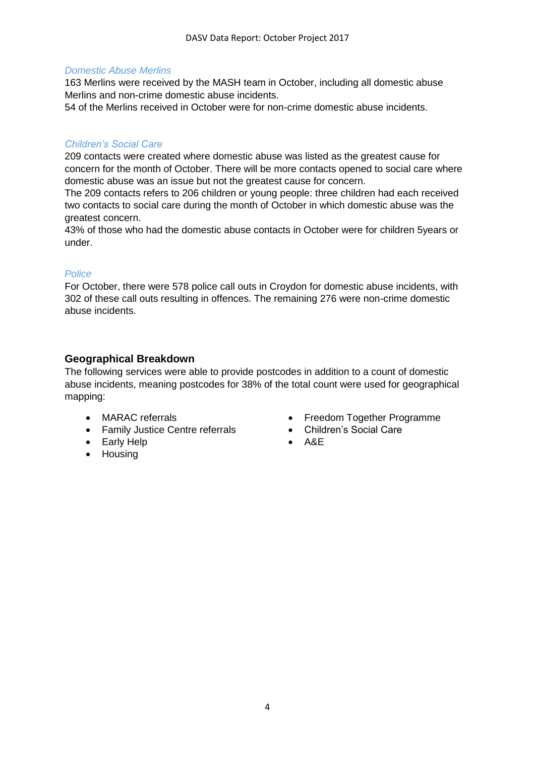#### *Domestic Abuse Merlins*

163 Merlins were received by the MASH team in October, including all domestic abuse Merlins and non-crime domestic abuse incidents.

54 of the Merlins received in October were for non-crime domestic abuse incidents.

## *Children's Social Care*

209 contacts were created where domestic abuse was listed as the greatest cause for concern for the month of October. There will be more contacts opened to social care where domestic abuse was an issue but not the greatest cause for concern.

The 209 contacts refers to 206 children or young people: three children had each received two contacts to social care during the month of October in which domestic abuse was the greatest concern.

43% of those who had the domestic abuse contacts in October were for children 5years or under.

#### *Police*

For October, there were 578 police call outs in Croydon for domestic abuse incidents, with 302 of these call outs resulting in offences. The remaining 276 were non-crime domestic abuse incidents.

# <span id="page-3-0"></span>**Geographical Breakdown**

The following services were able to provide postcodes in addition to a count of domestic abuse incidents, meaning postcodes for 38% of the total count were used for geographical mapping:

- 
- Family Justice Centre referrals Children's Social Care
- Early Help **Carly Help Carly Help Carly Help Carly Help Carly Help Carly Help Carly Help Carly Help Carly Help Carly Help Carly Help Carly Help Carly Help Carly Help Carly Help Carly Help**
- Housing
- MARAC referrals **Figure 1** Freedom Together Programme
	-
	-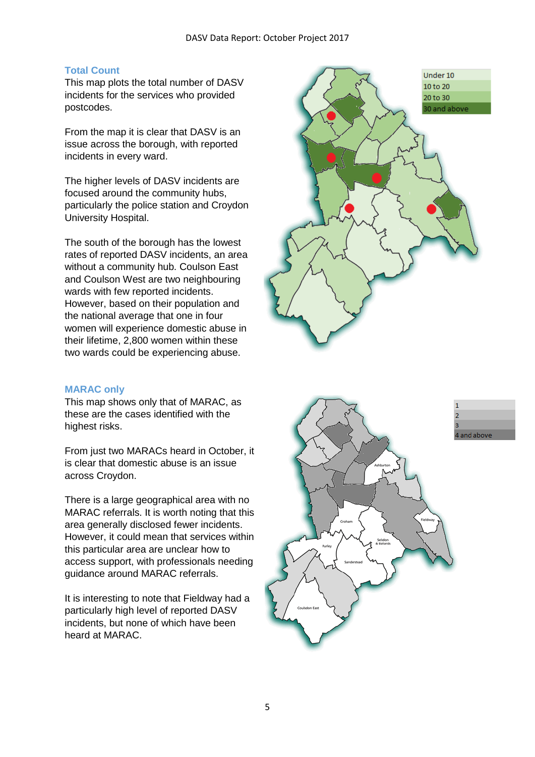## **Total Count**

This map plots the total number of DASV incidents for the services who provided postcodes.

From the map it is clear that DASV is an issue across the borough, with reported incidents in every ward.

The higher levels of DASV incidents are focused around the community hubs, particularly the police station and Croydon University Hospital.

The south of the borough has the lowest rates of reported DASV incidents, an area without a community hub. Coulson East and Coulson West are two neighbouring wards with few reported incidents. However, based on their population and the national average that one in four women will experience domestic abuse in their lifetime, 2,800 women within these two wards could be experiencing abuse.

#### **MARAC only**

This map shows only that of MARAC, as these are the cases identified with the highest risks.

From just two MARACs heard in October, it is clear that domestic abuse is an issue across Croydon.

There is a large geographical area with no MARAC referrals. It is worth noting that this area generally disclosed fewer incidents. However, it could mean that services within this particular area are unclear how to access support, with professionals needing guidance around MARAC referrals.

It is interesting to note that Fieldway had a particularly high level of reported DASV incidents, but none of which have been heard at MARAC.